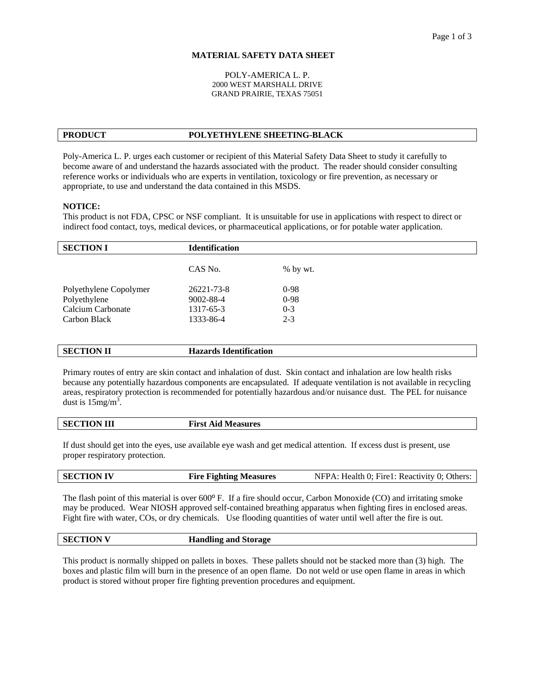## **MATERIAL SAFETY DATA SHEET**

### POLY-AMERICA L. P. 2000 WEST MARSHALL DRIVE GRAND PRAIRIE, TEXAS 75051

# **PRODUCT POLYETHYLENE SHEETING-BLACK**

Poly-America L. P. urges each customer or recipient of this Material Safety Data Sheet to study it carefully to become aware of and understand the hazards associated with the product. The reader should consider consulting reference works or individuals who are experts in ventilation, toxicology or fire prevention, as necessary or appropriate, to use and understand the data contained in this MSDS.

## **NOTICE:**

This product is not FDA, CPSC or NSF compliant. It is unsuitable for use in applications with respect to direct or indirect food contact, toys, medical devices, or pharmaceutical applications, or for potable water application.

| <b>SECTION I</b>       | <b>Identification</b> |            |
|------------------------|-----------------------|------------|
|                        | CAS No.               | $%$ by wt. |
| Polyethylene Copolymer | 26221-73-8            | $0-98$     |
| Polyethylene           | 9002-88-4             | $0-98$     |
| Calcium Carbonate      | 1317-65-3             | $0 - 3$    |
| Carbon Black           | 1333-86-4             | $2 - 3$    |
|                        |                       |            |

| <b>SECTION II</b> | . 0.00<br>Hazards Identification<br>. |
|-------------------|---------------------------------------|
|                   |                                       |

Primary routes of entry are skin contact and inhalation of dust. Skin contact and inhalation are low health risks because any potentially hazardous components are encapsulated. If adequate ventilation is not available in recycling areas, respiratory protection is recommended for potentially hazardous and/or nuisance dust. The PEL for nuisance dust is  $15$ mg/m<sup>3</sup>.

| <b>SECTION III</b> | <b>First Aid Measures</b> |
|--------------------|---------------------------|
|                    |                           |

If dust should get into the eyes, use available eye wash and get medical attention. If excess dust is present, use proper respiratory protection.

| <b>SECTION IV</b> | <b>Fire Fighting Measures</b> | NFPA: Health 0; Fire1: Reactivity 0; Others: |
|-------------------|-------------------------------|----------------------------------------------|
|-------------------|-------------------------------|----------------------------------------------|

The flash point of this material is over 600º F. If a fire should occur, Carbon Monoxide (CO) and irritating smoke may be produced. Wear NIOSH approved self-contained breathing apparatus when fighting fires in enclosed areas. Fight fire with water, COs, or dry chemicals. Use flooding quantities of water until well after the fire is out.

| <b>SECTION V</b> | .<br><b>Handling and Storage</b> |
|------------------|----------------------------------|
|                  |                                  |

This product is normally shipped on pallets in boxes. These pallets should not be stacked more than (3) high. The boxes and plastic film will burn in the presence of an open flame. Do not weld or use open flame in areas in which product is stored without proper fire fighting prevention procedures and equipment.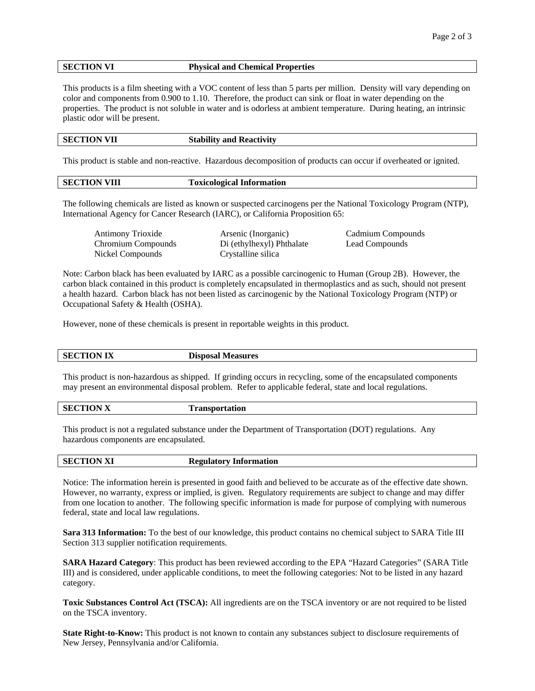## **SECTION VI Physical and Chemical Properties**

This products is a film sheeting with a VOC content of less than 5 parts per million. Density will vary depending on color and components from 0.900 to 1.10. Therefore, the product can sink or float in water depending on the properties. The product is not soluble in water and is odorless at ambient temperature. During heating, an intrinsic plastic odor will be present.

| <b>SECTION VII</b> | <b>Stability and Reactivity</b> |
|--------------------|---------------------------------|
|                    |                                 |

This product is stable and non-reactive. Hazardous decomposition of products can occur if overheated or ignited.

| <b>SECTION VIII</b> | <b>Toxicological Information</b> |
|---------------------|----------------------------------|
|                     |                                  |

The following chemicals are listed as known or suspected carcinogens per the National Toxicology Program (NTP), International Agency for Cancer Research (IARC), or California Proposition 65:

Nickel Compounds Crystalline silica

 Antimony Trioxide Arsenic (Inorganic) Cadmium Compounds Chromium Compounds Di (ethylhexyl) Phthalate Lead Compounds

Note: Carbon black has been evaluated by IARC as a possible carcinogenic to Human (Group 2B). However, the carbon black contained in this product is completely encapsulated in thermoplastics and as such, should not present a health hazard. Carbon black has not been listed as carcinogenic by the National Toxicology Program (NTP) or Occupational Safety & Health (OSHA).

However, none of these chemicals is present in reportable weights in this product.

| <b>SECTION IX</b> | <b>Disposal Measures</b> |
|-------------------|--------------------------|
|                   |                          |

This product is non-hazardous as shipped. If grinding occurs in recycling, some of the encapsulated components may present an environmental disposal problem. Refer to applicable federal, state and local regulations.

| <b>SECTION X</b> | Transportation |
|------------------|----------------|
|                  |                |

This product is not a regulated substance under the Department of Transportation (DOT) regulations. Any hazardous components are encapsulated.

| <b>SECTION XI</b> | <b>Regulatory Information</b> |
|-------------------|-------------------------------|
|                   |                               |

Notice: The information herein is presented in good faith and believed to be accurate as of the effective date shown. However, no warranty, express or implied, is given. Regulatory requirements are subject to change and may differ from one location to another. The following specific information is made for purpose of complying with numerous federal, state and local law regulations.

**Sara 313 Information:** To the best of our knowledge, this product contains no chemical subject to SARA Title III Section 313 supplier notification requirements.

**SARA Hazard Category**: This product has been reviewed according to the EPA "Hazard Categories" (SARA Title III) and is considered, under applicable conditions, to meet the following categories: Not to be listed in any hazard category.

**Toxic Substances Control Act (TSCA):** All ingredients are on the TSCA inventory or are not required to be listed on the TSCA inventory.

**State Right-to-Know:** This product is not known to contain any substances subject to disclosure requirements of New Jersey, Pennsylvania and/or California.